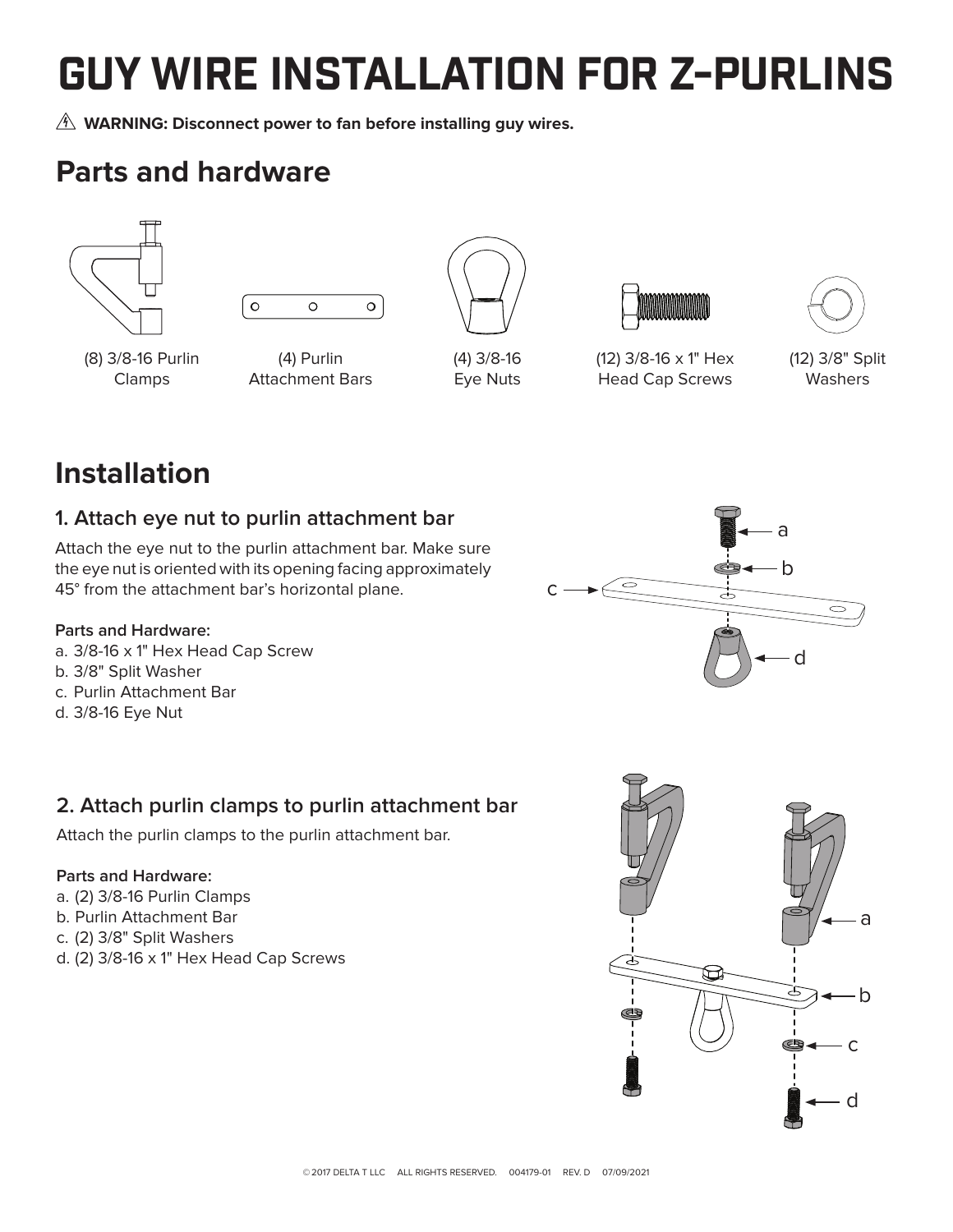# GUY WIRE INSTALLATION FOR Z-PURLINS

**WARNING: Disconnect power to fan before installing guy wires.**

# **Parts and hardware**





(8) 3/8-16 Purlin Clamps

(4) Purlin Attachment Bars



(4) 3/8-16 Eye Nuts



(12) 3/8-16 x 1" Hex Head Cap Screws



(12) 3/8" Split Washers

# **Installation**

# **1. Attach eye nut to purlin attachment bar**

Attach the eye nut to the purlin attachment bar. Make sure the eye nut is oriented with its opening facing approximately 45° from the attachment bar's horizontal plane.

#### **Parts and Hardware:**

- a. 3/8-16 x 1" Hex Head Cap Screw b. 3/8" Split Washer
- c. Purlin Attachment Bar
- d. 3/8-16 Eye Nut

# **2. Attach purlin clamps to purlin attachment bar**

Attach the purlin clamps to the purlin attachment bar.

#### **Parts and Hardware:**

- a. (2) 3/8-16 Purlin Clamps
- b. Purlin Attachment Bar
- c. (2) 3/8" Split Washers
- d. (2) 3/8-16 x 1" Hex Head Cap Screws